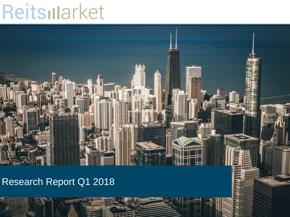# Reitsularket



## Research Report Q1 2018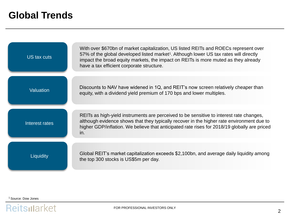#### **Global Trends**

| US tax cuts      | With over \$670bn of market capitalization, US listed REITs and ROECs represent over<br>57% of the global developed listed market <sup>1</sup> . Although lower US tax rates will directly<br>impact the broad equity markets, the impact on REITs is more muted as they already<br>have a tax efficient corporate structure. |
|------------------|-------------------------------------------------------------------------------------------------------------------------------------------------------------------------------------------------------------------------------------------------------------------------------------------------------------------------------|
| <b>Valuation</b> | Discounts to NAV have widened in 1Q, and REIT's now screen relatively cheaper than<br>equity, with a dividend yield premium of 170 bps and lower multiples.                                                                                                                                                                   |
| Interest rates   | REITs as high-yield instruments are perceived to be sensitive to interest rate changes,<br>although evidence shows that they typically recover in the higher rate environment due to<br>higher GDP/inflation. We believe that anticipated rate rises for 2018/19 globally are priced<br>in.                                   |
| Liquidity        | Global REIT's market capitalization exceeds \$2,100bn, and average daily liquidity among<br>the top 300 stocks is US\$5m per day.                                                                                                                                                                                             |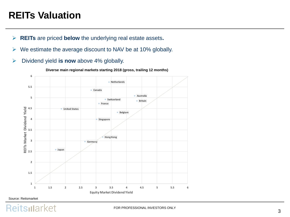#### **REITs Valuation**

- ➢ **REITs** are priced **below** the underlying real estate assets**.**
- $\triangleright$  We estimate the average discount to NAV be at 10% globally.
- ➢ Dividend yield **is now** above 4% globally.



**Diverse main regional markets starting 2018 (gross, trailing 12 months)**

#### Source: Reitsmarket

Reitsillarket

FOR PROFESSIONAL INVESTORS ONLY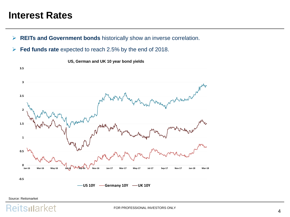#### **Interest Rates**

- ➢ **REITs and Government bonds** historically show an inverse correlation.
- ➢ **Fed funds rate** expected to reach 2.5% by the end of 2018.



**US, German and UK 10 year bond yields** 

Source: Reitsmarket

#### eitsillarket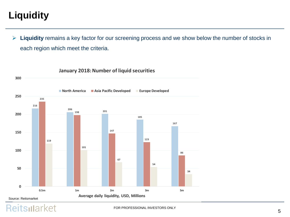# **Liquidity**

➢ **Liquidity** remains a key factor for our screening process and we show below the number of stocks in each region which meet the criteria.



**January 2018: Number of liquid securities**

#### Reitsillarket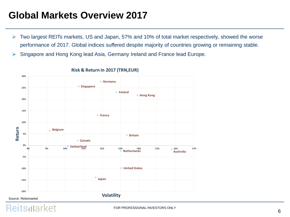#### **Global Markets Overview 2017**

- ➢ Two largest REITs markets, US and Japan, 57% and 10% of total market respectively, showed the worse performance of 2017. Global indices suffered despite majority of countries growing or remaining stable.
- ➢ Singapore and Hong Kong lead Asia, Germany Ireland and France lead Europe.



#### **Risk & Return in 2017 (TRN,EUR)**

Source: Reitsmarket

Reitsillarket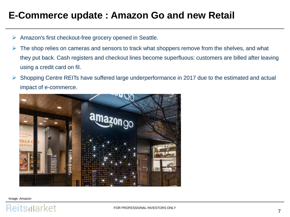#### **E-Commerce update : Amazon Go and new Retail**

- ➢ Amazon's first checkout-free grocery opened in Seattle.
- $\triangleright$  The shop relies on cameras and sensors to track what shoppers remove from the shelves, and what they put back. Cash registers and checkout lines become superfluous: customers are billed after leaving using a credit card on fil.
- ➢ Shopping Centre REITs have suffered large underperformance in 2017 due to the estimated and actual impact of e-commerce.



Image: Amazon

#### Reitsularket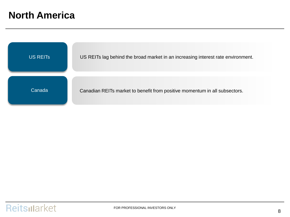#### **North America**

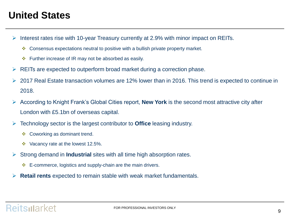#### **United States**

- ➢ Interest rates rise with 10-year Treasury currently at 2.9% with minor impact on REITs.
	- ❖ Consensus expectations neutral to positive with a bullish private property market.
	- ❖ Further increase of IR may not be absorbed as easily.
- $\triangleright$  REITs are expected to outperform broad market during a correction phase.
- ➢ 2017 Real Estate transaction volumes are 12% lower than in 2016. This trend is expected to continue in 2018.
- ➢ According to Knight Frank's Global Cities report, **New York** is the second most attractive city after London with £5.1bn of overseas capital.
- ➢ Technology sector is the largest contributor to **Office** leasing industry.
	- ❖ Coworking as dominant trend.
	- ❖ Vacancy rate at the lowest 12.5%.
- ➢ Strong demand in **Industrial** sites with all time high absorption rates.
	- ❖ E-commerce, logistics and supply-chain are the main drivers.
- ➢ **Retail rents** expected to remain stable with weak market fundamentals.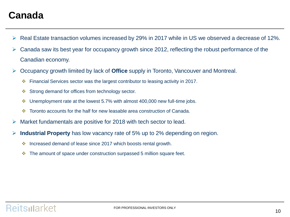#### **Canada**

- ➢ Real Estate transaction volumes increased by 29% in 2017 while in US we observed a decrease of 12%.
- $\triangleright$  Canada saw its best year for occupancy growth since 2012, reflecting the robust performance of the Canadian economy.
- ➢ Occupancy growth limited by lack of **Office** supply in Toronto, Vancouver and Montreal.
	- ❖ Financial Services sector was the largest contributor to leasing activity in 2017.
	- ❖ Strong demand for offices from technology sector.
	- ❖ Unemployment rate at the lowest 5.7% with almost 400,000 new full-time jobs.
	- ❖ Toronto accounts for the half for new leasable area construction of Canada.
- $\triangleright$  Market fundamentals are positive for 2018 with tech sector to lead.
- ➢ **Industrial Property** has low vacancy rate of 5% up to 2% depending on region.
	- ❖ Increased demand of lease since 2017 which boosts rental growth.
	- ❖ The amount of space under construction surpassed 5 million square feet.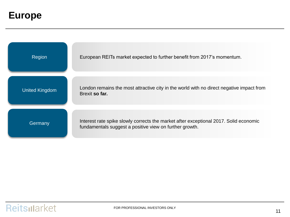#### **Europe**

| Region                | European REITs market expected to further benefit from 2017's momentum.                                                                          |
|-----------------------|--------------------------------------------------------------------------------------------------------------------------------------------------|
| <b>United Kingdom</b> | London remains the most attractive city in the world with no direct negative impact from<br>Brexit so far.                                       |
| Germany               | Interest rate spike slowly corrects the market after exceptional 2017. Solid economic<br>fundamentals suggest a positive view on further growth. |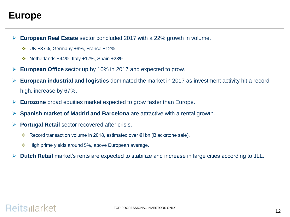#### **Europe**

- ➢ **European Real Estate** sector concluded 2017 with a 22% growth in volume.
	- ❖ UK +37%, Germany +9%, France +12%.
	- $\cdot \cdot$  Netherlands +44%, Italy +17%, Spain +23%.
- ➢ **European Office** sector up by 10% in 2017 and expected to grow.
- ➢ **European industrial and logistics** dominated the market in 2017 as investment activity hit a record high, increase by 67%.
- ➢ **Eurozone** broad equities market expected to grow faster than Europe.
- ➢ **Spanish market of Madrid and Barcelona** are attractive with a rental growth.
- ➢ **Portugal Retail** sector recovered after crisis.
	- ❖ Record transaction volume in 2018, estimated over €1bn (Blackstone sale).
	- ❖ High prime yields around 5%, above European average.
- ➢ **Dutch Retail** market's rents are expected to stabilize and increase in large cities according to JLL.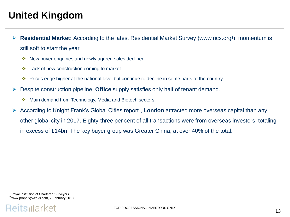#### **United Kingdom**

- ➢ **Residential Market:** According to the latest Residential Market Survey (www.rics.org<sup>1</sup> ), momentum is still soft to start the year.
	- ❖ New buyer enquiries and newly agreed sales declined.
	- ❖ Lack of new construction coming to market.
	- ❖ Prices edge higher at the national level but continue to decline in some parts of the country.
- ➢ Despite construction pipeline, **Office** supply satisfies only half of tenant demand.
	- ❖ Main demand from Technology, Media and Biotech sectors.
- ➢ According to Knight Frank's Global Cities report<sup>2</sup> , **London** attracted more overseas capital than any other global city in 2017. Eighty-three per cent of all transactions were from overseas investors, totaling in excess of £14bn. The key buyer group was Greater China, at over 40% of the total.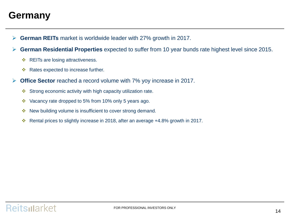#### **Germany**

- ➢ **German REITs** market is worldwide leader with 27% growth in 2017.
- ➢ **German Residential Properties** expected to suffer from 10 year bunds rate highest level since 2015.
	- ❖ REITs are losing attractiveness.
	- ❖ Rates expected to increase further.
- ➢ **Office Sector** reached a record volume with 7% yoy increase in 2017.
	- ❖ Strong economic activity with high capacity utilization rate.
	- ❖ Vacancy rate dropped to 5% from 10% only 5 years ago.
	- ❖ New building volume is insufficient to cover strong demand.
	- ❖ Rental prices to slightly increase in 2018, after an average +4.8% growth in 2017.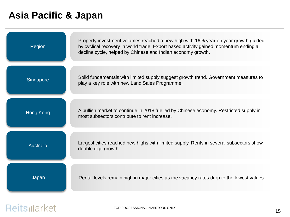### **Asia Pacific & Japan**

| Region           | Property investment volumes reached a new high with 16% year on year growth guided<br>by cyclical recovery in world trade. Export based activity gained momentum ending a<br>decline cycle, helped by Chinese and Indian economy growth. |
|------------------|------------------------------------------------------------------------------------------------------------------------------------------------------------------------------------------------------------------------------------------|
| Singapore        | Solid fundamentals with limited supply suggest growth trend. Government measures to<br>play a key role with new Land Sales Programme.                                                                                                    |
| <b>Hong Kong</b> | A bullish market to continue in 2018 fuelled by Chinese economy. Restricted supply in<br>most subsectors contribute to rent increase.                                                                                                    |
| Australia        | Largest cities reached new highs with limited supply. Rents in several subsectors show<br>double digit growth.                                                                                                                           |
| Japan            | Rental levels remain high in major cities as the vacancy rates drop to the lowest values.                                                                                                                                                |

## Reitsillarket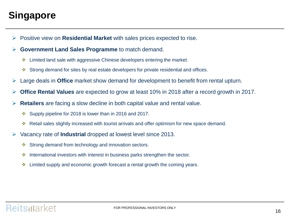## **Singapore**

➢ Positive view on **Residential Market** with sales prices expected to rise.

➢ **Government Land Sales Programme** to match demand.

- ❖ Limited land sale with aggressive Chinese developers entering the market.
- ❖ Strong demand for sites by real estate developers for private residential and offices.
- ➢ Large deals in **Office** market show demand for development to benefit from rental upturn.
- ➢ **Office Rental Values** are expected to grow at least 10% in 2018 after a record growth in 2017.
- ➢ **Retailers** are facing a slow decline in both capital value and rental value.
	- ❖ Supply pipeline for 2018 is lower than in 2016 and 2017.
	- ❖ Retail sales slightly increased with tourist arrivals and offer optimism for new space demand.
- ➢ Vacancy rate of **Industrial** dropped at lowest level since 2013.
	- ❖ Strong demand from technology and innovation sectors.
	- ❖ International investors with interest in business parks strengthen the sector.
	- $\div$  Limited supply and economic growth forecast a rental growth the coming years.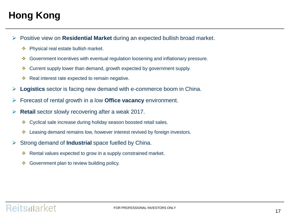## **Hong Kong**

- ➢ Positive view on **Residential Market** during an expected bullish broad market.
	- ❖ Physical real estate bullish market.
	- ❖ Government incentives with eventual regulation loosening and inflationary pressure.
	- ❖ Current supply lower than demand, growth expected by government supply.
	- ❖ Real interest rate expected to remain negative.
- ➢ **Logistics** sector is facing new demand with e-commerce boom in China.
- ➢ Forecast of rental growth in a low **Office vacancy** environment.
- ➢ **Retail** sector slowly recovering after a weak 2017.
	- ❖ Cyclical sale increase during holiday season boosted retail sales.
	- ❖ Leasing demand remains low, however interest revived by foreign investors.
- ➢ Strong demand of **Industrial** space fuelled by China.
	- ❖ Rental values expected to grow in a supply constrained market.
	- ❖ Government plan to review building policy.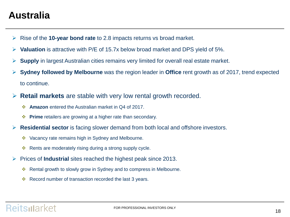#### **Australia**

- ➢ Rise of the **10-year bond rate** to 2.8 impacts returns vs broad market.
- **Valuation** is attractive with P/E of 15.7x below broad market and DPS yield of 5%.
- ➢ **Supply** in largest Australian cities remains very limited for overall real estate market.
- ➢ **Sydney followed by Melbourne** was the region leader in **Office** rent growth as of 2017, trend expected to continue.
- ➢ **Retail markets** are stable with very low rental growth recorded.
	- ❖ **Amazon** entered the Australian market in Q4 of 2017.
	- ❖ **Prime** retailers are growing at a higher rate than secondary.
- **Residential sector** is facing slower demand from both local and offshore investors.
	- ❖ Vacancy rate remains high in Sydney and Melbourne.
	- ❖ Rents are moderately rising during a strong supply cycle.
- ➢ Prices of **Industrial** sites reached the highest peak since 2013.
	- ❖ Rental growth to slowly grow in Sydney and to compress in Melbourne.
	- ❖ Record number of transaction recorded the last 3 years.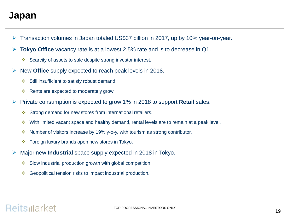#### **Japan**

- ➢ Transaction volumes in Japan totaled US\$37 billion in 2017, up by 10% year-on-year.
- **Tokyo Office** vacancy rate is at a lowest 2.5% rate and is to decrease in Q1.
	- ❖ Scarcity of assets to sale despite strong investor interest.
- ➢ New **Office** supply expected to reach peak levels in 2018.
	- ❖ Still insufficient to satisfy robust demand.
	- ❖ Rents are expected to moderately grow.
- ➢ Private consumption is expected to grow 1% in 2018 to support **Retail** sales.
	- ❖ Strong demand for new stores from international retailers.
	- ❖ With limited vacant space and healthy demand, rental levels are to remain at a peak level.
	- ❖ Number of visitors increase by 19% y-o-y, with tourism as strong contributor.
	- ❖ Foreign luxury brands open new stores in Tokyo.
- ➢ Major new **Industrial** space supply expected in 2018 in Tokyo.
	- ❖ Slow industrial production growth with global competition.
	- ❖ Geopolitical tension risks to impact industrial production.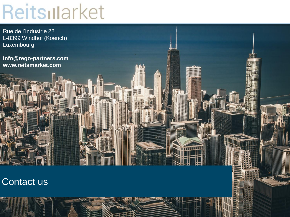# Reitslarket

Rue de l'Industrie 22 L-8399 Windhof (Koerich) Luxembourg

**info@rego-partners.com www.reitsmarket.com** 

# Contact us